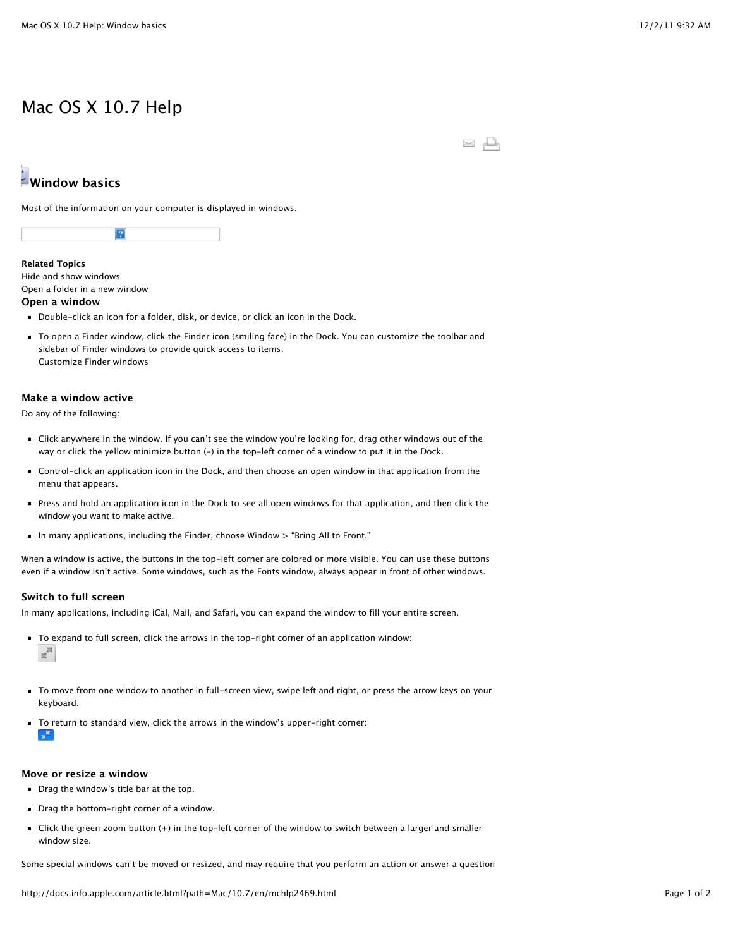## Mac OS X 10.7 Help

 $\simeq$   $\square$ 

# **Window basics**

Most of the information on your computer is displayed in windows.



**Related Topics** Hide and show windows

Open a folder in a new window

#### **Open a window**

- Double-click an icon for a folder, disk, or device, or click an icon in the Dock.
- To open a Finder window, click the Finder icon (smiling face) in the Dock. You can customize the toolbar and sidebar of Finder windows to provide quick access to items. Customize Finder windows

### **Make a window active**

Do any of the following:

- Click anywhere in the window. If you can't see the window you're looking for, drag other windows out of the way or click the yellow minimize button (-) in the top-left corner of a window to put it in the Dock.
- Control-click an application icon in the Dock, and then choose an open window in that application from the menu that appears.
- Press and hold an application icon in the Dock to see all open windows for that application, and then click the window you want to make active.
- In many applications, including the Finder, choose Window > "Bring All to Front."

When a window is active, the buttons in the top-left corner are colored or more visible. You can use these buttons even if a window isn't active. Some windows, such as the Fonts window, always appear in front of other windows.

### **Switch to full screen**

In many applications, including iCal, Mail, and Safari, you can expand the window to fill your entire screen.

- To expand to full screen, click the arrows in the top-right corner of an application window:  $n^{\overline{n}}$
- To move from one window to another in full-screen view, swipe left and right, or press the arrow keys on your keyboard.
- To return to standard view, click the arrows in the window's upper-right corner: ÷.

#### **Move or resize a window**

- Drag the window's title bar at the top.
- Drag the bottom-right corner of a window.
- Click the green zoom button (+) in the top-left corner of the window to switch between a larger and smaller window size.

Some special windows can't be moved or resized, and may require that you perform an action or answer a question